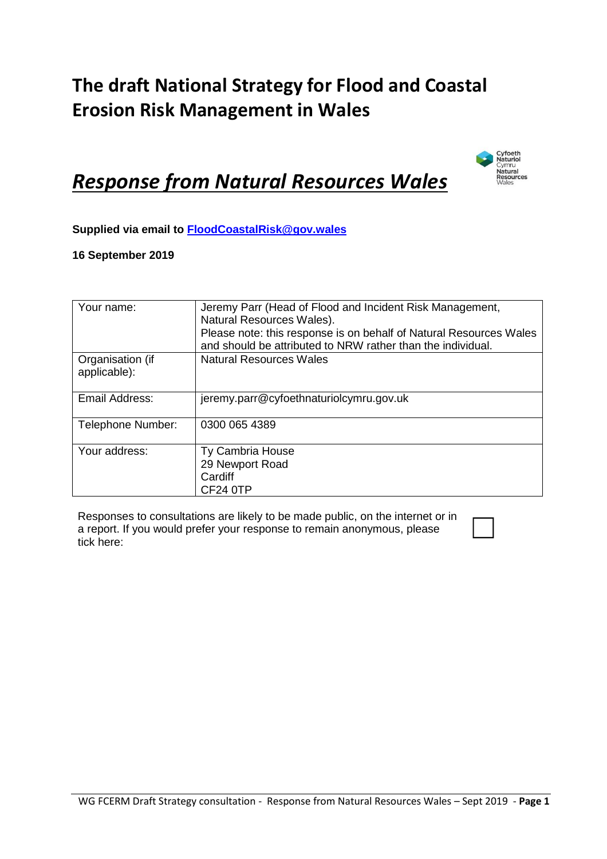### **The draft National Strategy for Flood and Coastal Erosion Risk Management in Wales**



## *Response from Natural Resources Wales*

**Supplied via email to [FloodCoastalRisk@gov.wales](mailto:FloodCoastalRisk@gov.wales)**

#### **16 September 2019**

| Your name:                       | Jeremy Parr (Head of Flood and Incident Risk Management,<br>Natural Resources Wales).<br>Please note: this response is on behalf of Natural Resources Wales<br>and should be attributed to NRW rather than the individual. |
|----------------------------------|----------------------------------------------------------------------------------------------------------------------------------------------------------------------------------------------------------------------------|
| Organisation (if<br>applicable): | <b>Natural Resources Wales</b>                                                                                                                                                                                             |
| Email Address:                   | jeremy.parr@cyfoethnaturiolcymru.gov.uk                                                                                                                                                                                    |
| Telephone Number:                | 0300 065 4389                                                                                                                                                                                                              |
| Your address:                    | Ty Cambria House<br>29 Newport Road<br>Cardiff<br>CF24 0TP                                                                                                                                                                 |

Responses to consultations are likely to be made public, on the internet or in a report. If you would prefer your response to remain anonymous, please Responses to consultations are likely to be made public, on the internet or in<br>a report. If you would prefer your response to remain anonymous, please<br>tick here: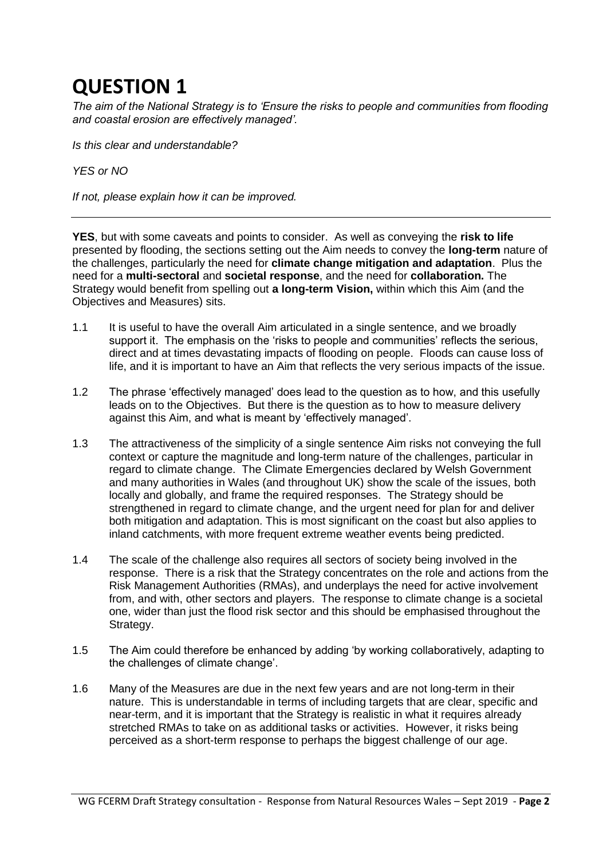*The aim of the National Strategy is to 'Ensure the risks to people and communities from flooding and coastal erosion are effectively managed'.* 

*Is this clear and understandable?*

*YES or NO*

*If not, please explain how it can be improved.*

**YES**, but with some caveats and points to consider. As well as conveying the **risk to life**  presented by flooding, the sections setting out the Aim needs to convey the **long-term** nature of the challenges, particularly the need for **climate change mitigation and adaptation**. Plus the need for a **multi-sectoral** and **societal response**, and the need for **collaboration.** The Strategy would benefit from spelling out **a long-term Vision,** within which this Aim (and the Objectives and Measures) sits.

- 1.1 It is useful to have the overall Aim articulated in a single sentence, and we broadly support it. The emphasis on the 'risks to people and communities' reflects the serious, direct and at times devastating impacts of flooding on people. Floods can cause loss of life, and it is important to have an Aim that reflects the very serious impacts of the issue.
- 1.2 The phrase 'effectively managed' does lead to the question as to how, and this usefully leads on to the Objectives. But there is the question as to how to measure delivery against this Aim, and what is meant by 'effectively managed'.
- 1.3 The attractiveness of the simplicity of a single sentence Aim risks not conveying the full context or capture the magnitude and long-term nature of the challenges, particular in regard to climate change. The Climate Emergencies declared by Welsh Government and many authorities in Wales (and throughout UK) show the scale of the issues, both locally and globally, and frame the required responses. The Strategy should be strengthened in regard to climate change, and the urgent need for plan for and deliver both mitigation and adaptation. This is most significant on the coast but also applies to inland catchments, with more frequent extreme weather events being predicted.
- 1.4 The scale of the challenge also requires all sectors of society being involved in the response. There is a risk that the Strategy concentrates on the role and actions from the Risk Management Authorities (RMAs), and underplays the need for active involvement from, and with, other sectors and players. The response to climate change is a societal one, wider than just the flood risk sector and this should be emphasised throughout the Strategy.
- 1.5 The Aim could therefore be enhanced by adding 'by working collaboratively, adapting to the challenges of climate change'.
- 1.6 Many of the Measures are due in the next few years and are not long-term in their nature. This is understandable in terms of including targets that are clear, specific and near-term, and it is important that the Strategy is realistic in what it requires already stretched RMAs to take on as additional tasks or activities. However, it risks being perceived as a short-term response to perhaps the biggest challenge of our age.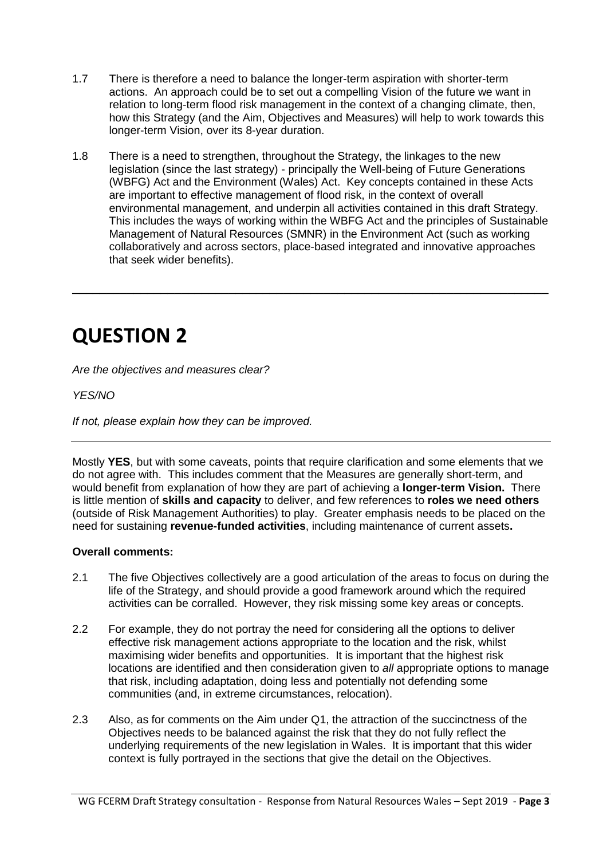- 1.7 There is therefore a need to balance the longer-term aspiration with shorter-term actions. An approach could be to set out a compelling Vision of the future we want in relation to long-term flood risk management in the context of a changing climate, then, how this Strategy (and the Aim, Objectives and Measures) will help to work towards this longer-term Vision, over its 8-year duration.
- 1.8 There is a need to strengthen, throughout the Strategy, the linkages to the new legislation (since the last strategy) - principally the Well-being of Future Generations (WBFG) Act and the Environment (Wales) Act. Key concepts contained in these Acts are important to effective management of flood risk, in the context of overall environmental management, and underpin all activities contained in this draft Strategy. This includes the ways of working within the WBFG Act and the principles of Sustainable Management of Natural Resources (SMNR) in the Environment Act (such as working collaboratively and across sectors, place-based integrated and innovative approaches that seek wider benefits).

\_\_\_\_\_\_\_\_\_\_\_\_\_\_\_\_\_\_\_\_\_\_\_\_\_\_\_\_\_\_\_\_\_\_\_\_\_\_\_\_\_\_\_\_\_\_\_\_\_\_\_\_\_\_\_\_\_\_\_\_\_\_\_\_\_\_\_\_\_\_

# **QUESTION 2**

*Are the objectives and measures clear?*

#### *YES/NO*

*If not, please explain how they can be improved.*

Mostly **YES**, but with some caveats, points that require clarification and some elements that we do not agree with. This includes comment that the Measures are generally short-term, and would benefit from explanation of how they are part of achieving a **longer-term Vision.** There is little mention of **skills and capacity** to deliver, and few references to **roles we need others** (outside of Risk Management Authorities) to play. Greater emphasis needs to be placed on the need for sustaining **revenue-funded activities**, including maintenance of current assets**.** 

#### **Overall comments:**

- 2.1 The five Objectives collectively are a good articulation of the areas to focus on during the life of the Strategy, and should provide a good framework around which the required activities can be corralled. However, they risk missing some key areas or concepts.
- 2.2 For example, they do not portray the need for considering all the options to deliver effective risk management actions appropriate to the location and the risk, whilst maximising wider benefits and opportunities. It is important that the highest risk locations are identified and then consideration given to *all* appropriate options to manage that risk, including adaptation, doing less and potentially not defending some communities (and, in extreme circumstances, relocation).
- 2.3 Also, as for comments on the Aim under Q1, the attraction of the succinctness of the Objectives needs to be balanced against the risk that they do not fully reflect the underlying requirements of the new legislation in Wales. It is important that this wider context is fully portrayed in the sections that give the detail on the Objectives.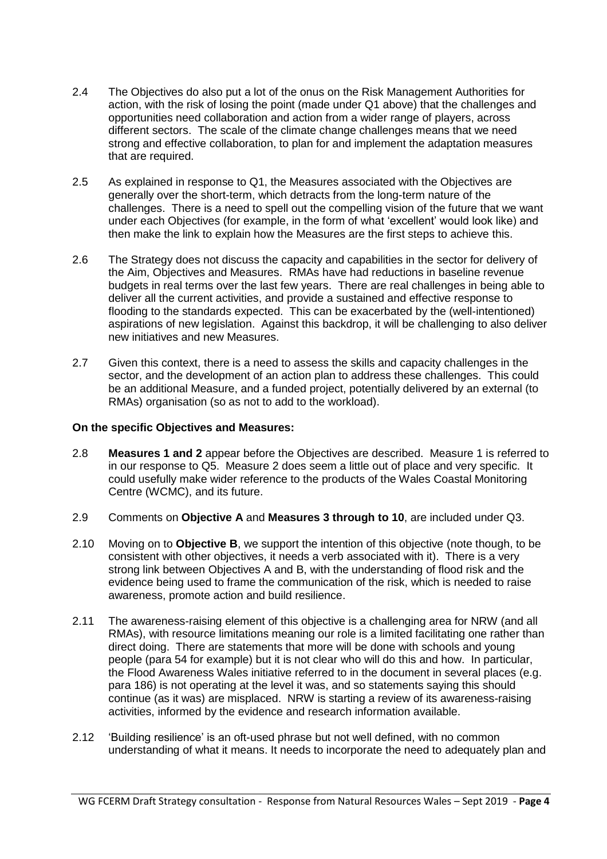- 2.4 The Objectives do also put a lot of the onus on the Risk Management Authorities for action, with the risk of losing the point (made under Q1 above) that the challenges and opportunities need collaboration and action from a wider range of players, across different sectors. The scale of the climate change challenges means that we need strong and effective collaboration, to plan for and implement the adaptation measures that are required.
- 2.5 As explained in response to Q1, the Measures associated with the Objectives are generally over the short-term, which detracts from the long-term nature of the challenges. There is a need to spell out the compelling vision of the future that we want under each Objectives (for example, in the form of what 'excellent' would look like) and then make the link to explain how the Measures are the first steps to achieve this.
- 2.6 The Strategy does not discuss the capacity and capabilities in the sector for delivery of the Aim, Objectives and Measures. RMAs have had reductions in baseline revenue budgets in real terms over the last few years. There are real challenges in being able to deliver all the current activities, and provide a sustained and effective response to flooding to the standards expected. This can be exacerbated by the (well-intentioned) aspirations of new legislation. Against this backdrop, it will be challenging to also deliver new initiatives and new Measures.
- 2.7 Given this context, there is a need to assess the skills and capacity challenges in the sector, and the development of an action plan to address these challenges. This could be an additional Measure, and a funded project, potentially delivered by an external (to RMAs) organisation (so as not to add to the workload).

#### **On the specific Objectives and Measures:**

- 2.8 **Measures 1 and 2** appear before the Objectives are described. Measure 1 is referred to in our response to Q5. Measure 2 does seem a little out of place and very specific. It could usefully make wider reference to the products of the Wales Coastal Monitoring Centre (WCMC), and its future.
- 2.9 Comments on **Objective A** and **Measures 3 through to 10**, are included under Q3.
- 2.10 Moving on to **Objective B**, we support the intention of this objective (note though, to be consistent with other objectives, it needs a verb associated with it). There is a very strong link between Objectives A and B, with the understanding of flood risk and the evidence being used to frame the communication of the risk, which is needed to raise awareness, promote action and build resilience.
- 2.11 The awareness-raising element of this objective is a challenging area for NRW (and all RMAs), with resource limitations meaning our role is a limited facilitating one rather than direct doing. There are statements that more will be done with schools and young people (para 54 for example) but it is not clear who will do this and how. In particular, the Flood Awareness Wales initiative referred to in the document in several places (e.g. para 186) is not operating at the level it was, and so statements saying this should continue (as it was) are misplaced. NRW is starting a review of its awareness-raising activities, informed by the evidence and research information available.
- 2.12 'Building resilience' is an oft-used phrase but not well defined, with no common understanding of what it means. It needs to incorporate the need to adequately plan and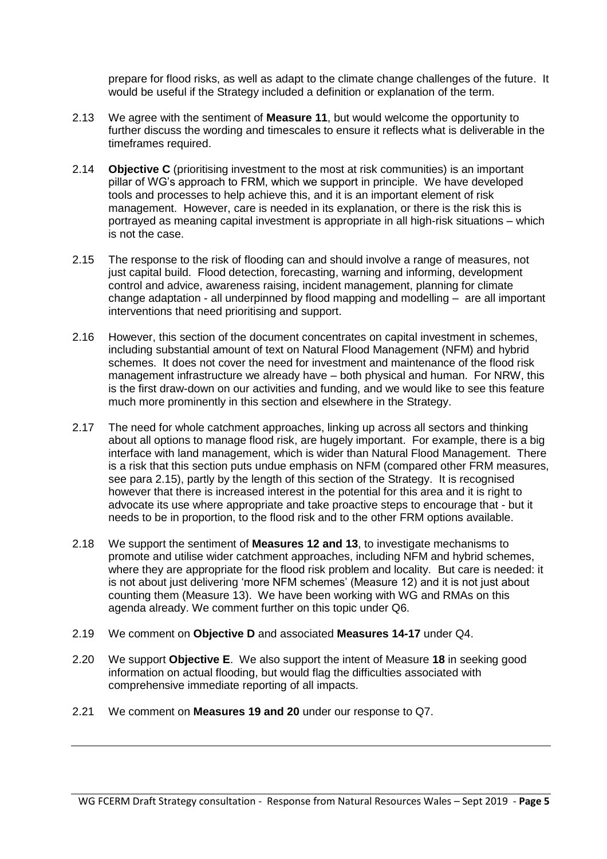prepare for flood risks, as well as adapt to the climate change challenges of the future. It would be useful if the Strategy included a definition or explanation of the term.

- 2.13 We agree with the sentiment of **Measure 11**, but would welcome the opportunity to further discuss the wording and timescales to ensure it reflects what is deliverable in the timeframes required.
- 2.14 **Objective C** (prioritising investment to the most at risk communities) is an important pillar of WG's approach to FRM, which we support in principle. We have developed tools and processes to help achieve this, and it is an important element of risk management. However, care is needed in its explanation, or there is the risk this is portrayed as meaning capital investment is appropriate in all high-risk situations – which is not the case.
- 2.15 The response to the risk of flooding can and should involve a range of measures, not just capital build. Flood detection, forecasting, warning and informing, development control and advice, awareness raising, incident management, planning for climate change adaptation - all underpinned by flood mapping and modelling – are all important interventions that need prioritising and support.
- 2.16 However, this section of the document concentrates on capital investment in schemes, including substantial amount of text on Natural Flood Management (NFM) and hybrid schemes. It does not cover the need for investment and maintenance of the flood risk management infrastructure we already have – both physical and human. For NRW, this is the first draw-down on our activities and funding, and we would like to see this feature much more prominently in this section and elsewhere in the Strategy.
- 2.17 The need for whole catchment approaches, linking up across all sectors and thinking about all options to manage flood risk, are hugely important. For example, there is a big interface with land management, which is wider than Natural Flood Management. There is a risk that this section puts undue emphasis on NFM (compared other FRM measures, see para 2.15), partly by the length of this section of the Strategy. It is recognised however that there is increased interest in the potential for this area and it is right to advocate its use where appropriate and take proactive steps to encourage that - but it needs to be in proportion, to the flood risk and to the other FRM options available.
- 2.18 We support the sentiment of **Measures 12 and 13**, to investigate mechanisms to promote and utilise wider catchment approaches, including NFM and hybrid schemes, where they are appropriate for the flood risk problem and locality. But care is needed: it is not about just delivering 'more NFM schemes' (Measure 12) and it is not just about counting them (Measure 13). We have been working with WG and RMAs on this agenda already. We comment further on this topic under Q6.
- 2.19 We comment on **Objective D** and associated **Measures 14-17** under Q4.
- 2.20 We support **Objective E**. We also support the intent of Measure **18** in seeking good information on actual flooding, but would flag the difficulties associated with comprehensive immediate reporting of all impacts.
- 2.21 We comment on **Measures 19 and 20** under our response to Q7.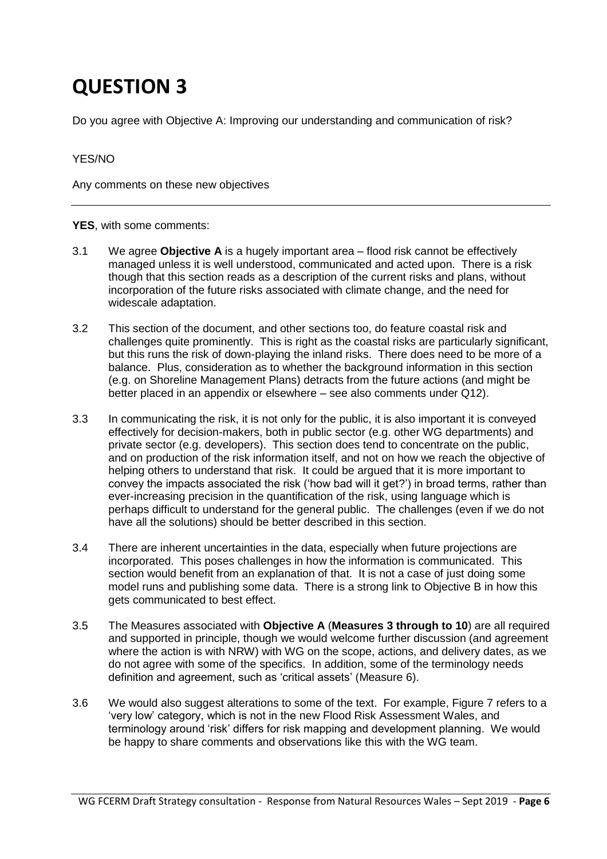Do you agree with Objective A: Improving our understanding and communication of risk?

#### YES/NO

Any comments on these new objectives

**YES**, with some comments:

- 3.1 We agree **Objective A** is a hugely important area flood risk cannot be effectively managed unless it is well understood, communicated and acted upon. There is a risk though that this section reads as a description of the current risks and plans, without incorporation of the future risks associated with climate change, and the need for widescale adaptation.
- 3.2 This section of the document, and other sections too, do feature coastal risk and challenges quite prominently. This is right as the coastal risks are particularly significant, but this runs the risk of down-playing the inland risks. There does need to be more of a balance. Plus, consideration as to whether the background information in this section (e.g. on Shoreline Management Plans) detracts from the future actions (and might be better placed in an appendix or elsewhere – see also comments under Q12).
- 3.3 In communicating the risk, it is not only for the public, it is also important it is conveyed effectively for decision-makers, both in public sector (e.g. other WG departments) and private sector (e.g. developers). This section does tend to concentrate on the public, and on production of the risk information itself, and not on how we reach the objective of helping others to understand that risk. It could be argued that it is more important to convey the impacts associated the risk ('how bad will it get?') in broad terms, rather than ever-increasing precision in the quantification of the risk, using language which is perhaps difficult to understand for the general public. The challenges (even if we do not have all the solutions) should be better described in this section.
- 3.4 There are inherent uncertainties in the data, especially when future projections are incorporated. This poses challenges in how the information is communicated. This section would benefit from an explanation of that. It is not a case of just doing some model runs and publishing some data. There is a strong link to Objective B in how this gets communicated to best effect.
- 3.5 The Measures associated with **Objective A** (**Measures 3 through to 10**) are all required and supported in principle, though we would welcome further discussion (and agreement where the action is with NRW) with WG on the scope, actions, and delivery dates, as we do not agree with some of the specifics. In addition, some of the terminology needs definition and agreement, such as 'critical assets' (Measure 6).
- 3.6 We would also suggest alterations to some of the text. For example, Figure 7 refers to a 'very low' category, which is not in the new Flood Risk Assessment Wales, and terminology around 'risk' differs for risk mapping and development planning. We would be happy to share comments and observations like this with the WG team.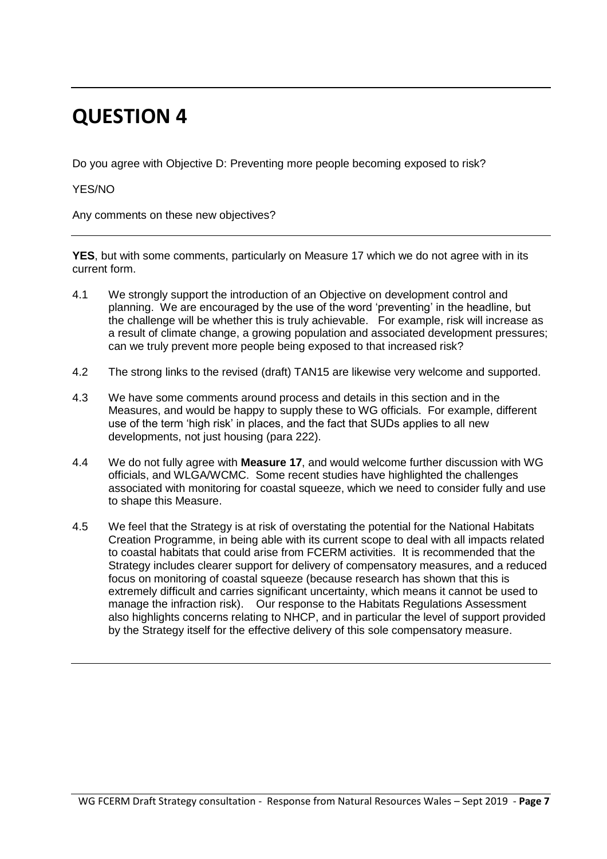Do you agree with Objective D: Preventing more people becoming exposed to risk?

YES/NO

Any comments on these new objectives?

**YES**, but with some comments, particularly on Measure 17 which we do not agree with in its current form.

- 4.1 We strongly support the introduction of an Objective on development control and planning. We are encouraged by the use of the word 'preventing' in the headline, but the challenge will be whether this is truly achievable. For example, risk will increase as a result of climate change, a growing population and associated development pressures; can we truly prevent more people being exposed to that increased risk?
- 4.2 The strong links to the revised (draft) TAN15 are likewise very welcome and supported.
- 4.3 We have some comments around process and details in this section and in the Measures, and would be happy to supply these to WG officials. For example, different use of the term 'high risk' in places, and the fact that SUDs applies to all new developments, not just housing (para 222).
- 4.4 We do not fully agree with **Measure 17**, and would welcome further discussion with WG officials, and WLGA/WCMC. Some recent studies have highlighted the challenges associated with monitoring for coastal squeeze, which we need to consider fully and use to shape this Measure.
- 4.5 We feel that the Strategy is at risk of overstating the potential for the National Habitats Creation Programme, in being able with its current scope to deal with all impacts related to coastal habitats that could arise from FCERM activities. It is recommended that the Strategy includes clearer support for delivery of compensatory measures, and a reduced focus on monitoring of coastal squeeze (because research has shown that this is extremely difficult and carries significant uncertainty, which means it cannot be used to manage the infraction risk). Our response to the Habitats Regulations Assessment also highlights concerns relating to NHCP, and in particular the level of support provided by the Strategy itself for the effective delivery of this sole compensatory measure.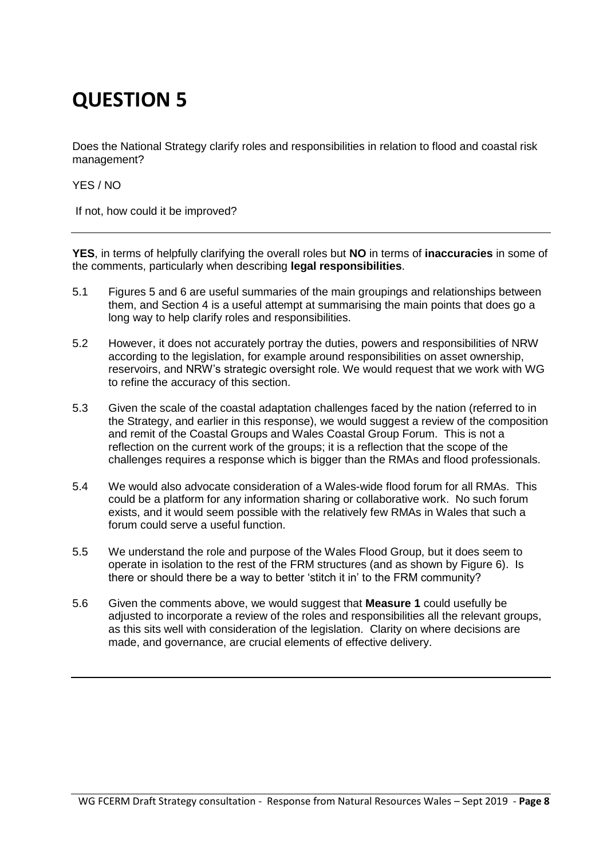Does the National Strategy clarify roles and responsibilities in relation to flood and coastal risk management?

YES / NO

If not, how could it be improved?

**YES**, in terms of helpfully clarifying the overall roles but **NO** in terms of **inaccuracies** in some of the comments, particularly when describing **legal responsibilities**.

- 5.1 Figures 5 and 6 are useful summaries of the main groupings and relationships between them, and Section 4 is a useful attempt at summarising the main points that does go a long way to help clarify roles and responsibilities.
- 5.2 However, it does not accurately portray the duties, powers and responsibilities of NRW according to the legislation, for example around responsibilities on asset ownership, reservoirs, and NRW's strategic oversight role. We would request that we work with WG to refine the accuracy of this section.
- 5.3 Given the scale of the coastal adaptation challenges faced by the nation (referred to in the Strategy, and earlier in this response), we would suggest a review of the composition and remit of the Coastal Groups and Wales Coastal Group Forum. This is not a reflection on the current work of the groups; it is a reflection that the scope of the challenges requires a response which is bigger than the RMAs and flood professionals.
- 5.4 We would also advocate consideration of a Wales-wide flood forum for all RMAs. This could be a platform for any information sharing or collaborative work. No such forum exists, and it would seem possible with the relatively few RMAs in Wales that such a forum could serve a useful function.
- 5.5 We understand the role and purpose of the Wales Flood Group, but it does seem to operate in isolation to the rest of the FRM structures (and as shown by Figure 6). Is there or should there be a way to better 'stitch it in' to the FRM community?
- 5.6 Given the comments above, we would suggest that **Measure 1** could usefully be adjusted to incorporate a review of the roles and responsibilities all the relevant groups, as this sits well with consideration of the legislation. Clarity on where decisions are made, and governance, are crucial elements of effective delivery.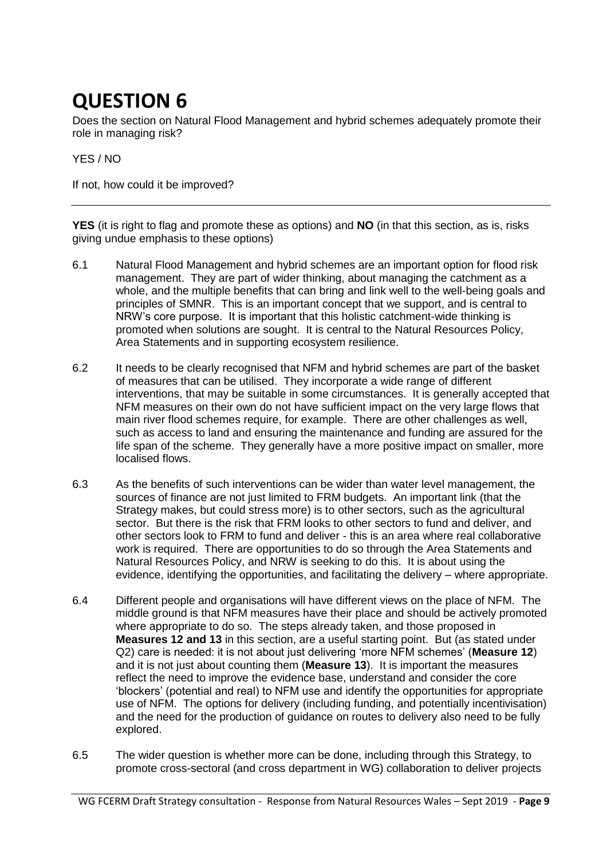Does the section on Natural Flood Management and hybrid schemes adequately promote their role in managing risk?

#### YES / NO

If not, how could it be improved?

**YES** (it is right to flag and promote these as options) and **NO** (in that this section, as is, risks giving undue emphasis to these options)

- 6.1 Natural Flood Management and hybrid schemes are an important option for flood risk management. They are part of wider thinking, about managing the catchment as a whole, and the multiple benefits that can bring and link well to the well-being goals and principles of SMNR. This is an important concept that we support, and is central to NRW's core purpose. It is important that this holistic catchment-wide thinking is promoted when solutions are sought. It is central to the Natural Resources Policy, Area Statements and in supporting ecosystem resilience.
- 6.2 It needs to be clearly recognised that NFM and hybrid schemes are part of the basket of measures that can be utilised. They incorporate a wide range of different interventions, that may be suitable in some circumstances. It is generally accepted that NFM measures on their own do not have sufficient impact on the very large flows that main river flood schemes require, for example. There are other challenges as well, such as access to land and ensuring the maintenance and funding are assured for the life span of the scheme. They generally have a more positive impact on smaller, more localised flows.
- 6.3 As the benefits of such interventions can be wider than water level management, the sources of finance are not just limited to FRM budgets. An important link (that the Strategy makes, but could stress more) is to other sectors, such as the agricultural sector. But there is the risk that FRM looks to other sectors to fund and deliver, and other sectors look to FRM to fund and deliver - this is an area where real collaborative work is required. There are opportunities to do so through the Area Statements and Natural Resources Policy, and NRW is seeking to do this. It is about using the evidence, identifying the opportunities, and facilitating the delivery – where appropriate.
- 6.4 Different people and organisations will have different views on the place of NFM. The middle ground is that NFM measures have their place and should be actively promoted where appropriate to do so. The steps already taken, and those proposed in **Measures 12 and 13** in this section, are a useful starting point. But (as stated under Q2) care is needed: it is not about just delivering 'more NFM schemes' (**Measure 12**) and it is not just about counting them (**Measure 13**). It is important the measures reflect the need to improve the evidence base, understand and consider the core 'blockers' (potential and real) to NFM use and identify the opportunities for appropriate use of NFM. The options for delivery (including funding, and potentially incentivisation) and the need for the production of guidance on routes to delivery also need to be fully explored.
- 6.5 The wider question is whether more can be done, including through this Strategy, to promote cross-sectoral (and cross department in WG) collaboration to deliver projects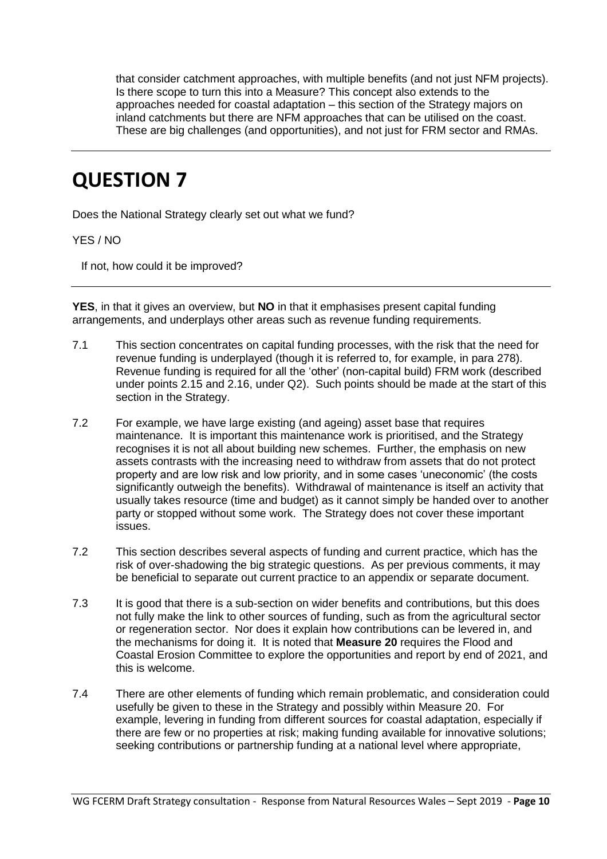that consider catchment approaches, with multiple benefits (and not just NFM projects). Is there scope to turn this into a Measure? This concept also extends to the approaches needed for coastal adaptation – this section of the Strategy majors on inland catchments but there are NFM approaches that can be utilised on the coast. These are big challenges (and opportunities), and not just for FRM sector and RMAs.

### **QUESTION 7**

Does the National Strategy clearly set out what we fund?

YES / NO

If not, how could it be improved?

**YES**, in that it gives an overview, but **NO** in that it emphasises present capital funding arrangements, and underplays other areas such as revenue funding requirements.

- 7.1 This section concentrates on capital funding processes, with the risk that the need for revenue funding is underplayed (though it is referred to, for example, in para 278). Revenue funding is required for all the 'other' (non-capital build) FRM work (described under points 2.15 and 2.16, under Q2). Such points should be made at the start of this section in the Strategy.
- 7.2 For example, we have large existing (and ageing) asset base that requires maintenance. It is important this maintenance work is prioritised, and the Strategy recognises it is not all about building new schemes. Further, the emphasis on new assets contrasts with the increasing need to withdraw from assets that do not protect property and are low risk and low priority, and in some cases 'uneconomic' (the costs significantly outweigh the benefits). Withdrawal of maintenance is itself an activity that usually takes resource (time and budget) as it cannot simply be handed over to another party or stopped without some work. The Strategy does not cover these important issues.
- 7.2 This section describes several aspects of funding and current practice, which has the risk of over-shadowing the big strategic questions. As per previous comments, it may be beneficial to separate out current practice to an appendix or separate document.
- 7.3 It is good that there is a sub-section on wider benefits and contributions, but this does not fully make the link to other sources of funding, such as from the agricultural sector or regeneration sector. Nor does it explain how contributions can be levered in, and the mechanisms for doing it. It is noted that **Measure 20** requires the Flood and Coastal Erosion Committee to explore the opportunities and report by end of 2021, and this is welcome.
- 7.4 There are other elements of funding which remain problematic, and consideration could usefully be given to these in the Strategy and possibly within Measure 20. For example, levering in funding from different sources for coastal adaptation, especially if there are few or no properties at risk; making funding available for innovative solutions; seeking contributions or partnership funding at a national level where appropriate,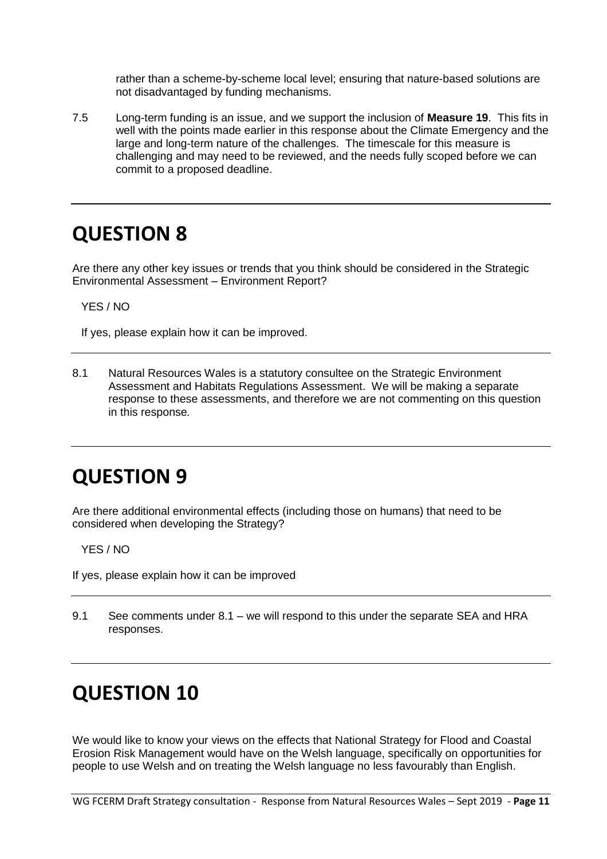rather than a scheme-by-scheme local level; ensuring that nature-based solutions are not disadvantaged by funding mechanisms.

7.5 Long-term funding is an issue, and we support the inclusion of **Measure 19**. This fits in well with the points made earlier in this response about the Climate Emergency and the large and long-term nature of the challenges. The timescale for this measure is challenging and may need to be reviewed, and the needs fully scoped before we can commit to a proposed deadline.

#### **QUESTION 8**

Are there any other key issues or trends that you think should be considered in the Strategic Environmental Assessment – Environment Report?

YES / NO

If yes, please explain how it can be improved.

8.1 Natural Resources Wales is a statutory consultee on the Strategic Environment Assessment and Habitats Regulations Assessment. We will be making a separate response to these assessments, and therefore we are not commenting on this question in this response*.*

### **QUESTION 9**

Are there additional environmental effects (including those on humans) that need to be considered when developing the Strategy?

YES / NO

If yes, please explain how it can be improved

9.1 See comments under 8.1 – we will respond to this under the separate SEA and HRA responses.

### **QUESTION 10**

We would like to know your views on the effects that National Strategy for Flood and Coastal Erosion Risk Management would have on the Welsh language, specifically on opportunities for people to use Welsh and on treating the Welsh language no less favourably than English.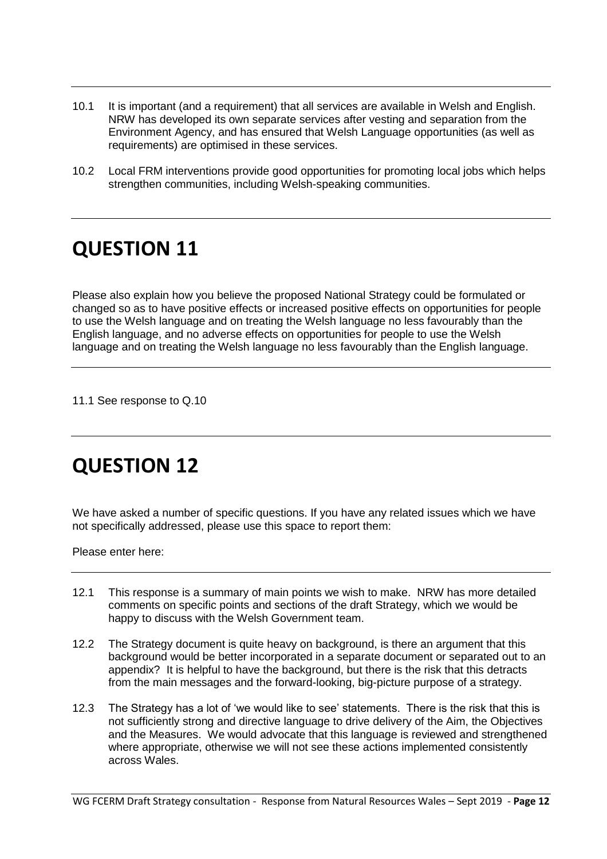- 10.1 It is important (and a requirement) that all services are available in Welsh and English. NRW has developed its own separate services after vesting and separation from the Environment Agency, and has ensured that Welsh Language opportunities (as well as requirements) are optimised in these services.
- 10.2 Local FRM interventions provide good opportunities for promoting local jobs which helps strengthen communities, including Welsh-speaking communities.

Please also explain how you believe the proposed National Strategy could be formulated or changed so as to have positive effects or increased positive effects on opportunities for people to use the Welsh language and on treating the Welsh language no less favourably than the English language, and no adverse effects on opportunities for people to use the Welsh language and on treating the Welsh language no less favourably than the English language.

11.1 See response to Q.10

### **QUESTION 12**

We have asked a number of specific questions. If you have any related issues which we have not specifically addressed, please use this space to report them:

Please enter here:

- 12.1 This response is a summary of main points we wish to make. NRW has more detailed comments on specific points and sections of the draft Strategy, which we would be happy to discuss with the Welsh Government team.
- 12.2 The Strategy document is quite heavy on background, is there an argument that this background would be better incorporated in a separate document or separated out to an appendix? It is helpful to have the background, but there is the risk that this detracts from the main messages and the forward-looking, big-picture purpose of a strategy.
- 12.3 The Strategy has a lot of 'we would like to see' statements. There is the risk that this is not sufficiently strong and directive language to drive delivery of the Aim, the Objectives and the Measures. We would advocate that this language is reviewed and strengthened where appropriate, otherwise we will not see these actions implemented consistently across Wales.